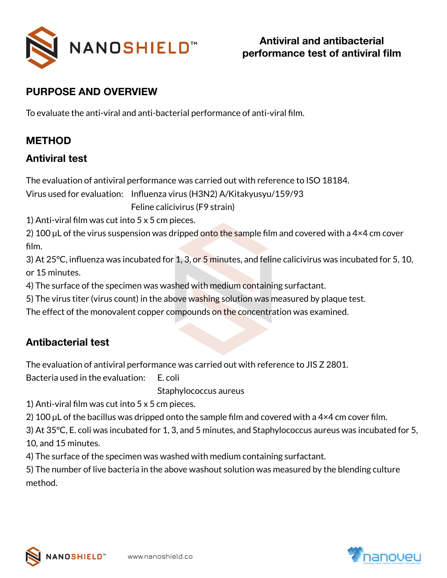

### **PURPOSE AND OVERVIEW**

To evaluate the anti-viral and anti-bacterial performance of anti-viral film.

#### **METHOD**

#### **Antiviral test**

The evaluation of antiviral performance was carried out with reference to ISO 18184.

Virus used for evaluation: Influenza virus (H3N2) A/Kitakyusyu/159/93 Feline calicivirus (F9 strain)

1) Anti-viral film was cut into 5 x 5 cm pieces.

2) 100 µL of the virus suspension was dripped onto the sample film and covered with a 4×4 cm cover film.

3) At 25 $\degree$ C, influenza was incubated for 1, 3, or 5 minutes, and feline calicivirus was incubated for 5, 10, or 15 minutes.

4) The surface of the specimen was washed with medium containing surfactant.

5) The virus titer (virus count) in the above washing solution was measured by plaque test.

The effect of the monovalent copper compounds on the concentration was examined.

## **Antibacterial test**

The evaluation of antiviral performance was carried out with reference to JIS Z 2801.

Bacteria used in the evaluation: E. coli

Staphylococcus aureus

1) Anti-viral film was cut into 5 x 5 cm pieces.

2) 100 µL of the bacillus was dripped onto the sample film and covered with a 4×4 cm cover film.

3) At 35°C, E. coli was incubated for 1, 3, and 5 minutes, and Staphylococcus aureus was incubated for 5, 10, and 15 minutes.

4) The surface of the specimen was washed with medium containing surfactant.

5) The number of live bacteria in the above washout solution was measured by the blending culture method.



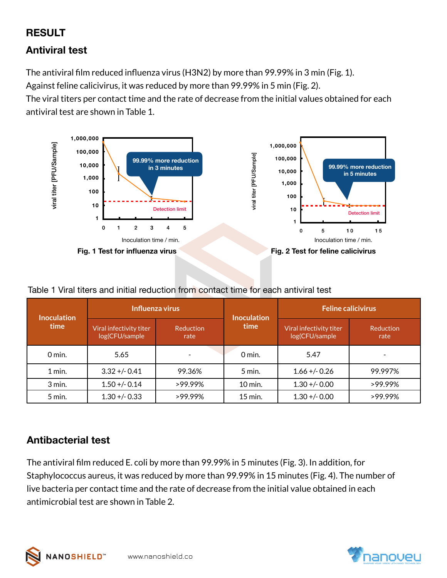# **RESULT**

## **Antiviral test**

The antiviral film reduced influenza virus (H3N2) by more than 99.99% in 3 min (Fig. 1).

Against feline calicivirus, it was reduced by more than 99.99% in 5 min (Fig. 2).

The viral titers per contact time and the rate of decrease from the initial values obtained for each antiviral test are shown in Table 1.



| Table 1 Viral titers and initial reduction from contact time for each antiviral test |  |  |  |  |
|--------------------------------------------------------------------------------------|--|--|--|--|
|                                                                                      |  |  |  |  |

| <b>Inoculation</b> |                                           | Influenza virus   | <b>Inoculation</b> | <b>Feline calicivirus</b>                 |                          |  |
|--------------------|-------------------------------------------|-------------------|--------------------|-------------------------------------------|--------------------------|--|
| time               | Viral infectivity titer<br>log(CFU/sample | Reduction<br>rate | time               | Viral infectivity titer<br>log(CFU/sample | <b>Reduction</b><br>rate |  |
| $0$ min.           | 5.65                                      |                   | $0$ min.           | 5.47                                      |                          |  |
| 1 min.             | $3.32 + -0.41$                            | 99.36%            | $5$ min.           | $1.66 + -0.26$                            | 99.997%                  |  |
| 3 min.             | $1.50 + - 0.14$                           | $>99.99\%$        | 10 min.            | $1.30 + - 0.00$                           | $>99.99\%$               |  |
| 5 min.             | $1.30 + - 0.33$                           | $>99.99\%$        | $15$ min.          | $1.30 + - 0.00$                           | $>99.99\%$               |  |

# **Antibacterial test**

The antiviral film reduced E. coli by more than 99.99% in 5 minutes (Fig. 3). In addition, for Staphylococcus aureus, it was reduced by more than 99.99% in 15 minutes (Fig. 4). The number of live bacteria per contact time and the rate of decrease from the initial value obtained in each antimicrobial test are shown in Table 2.